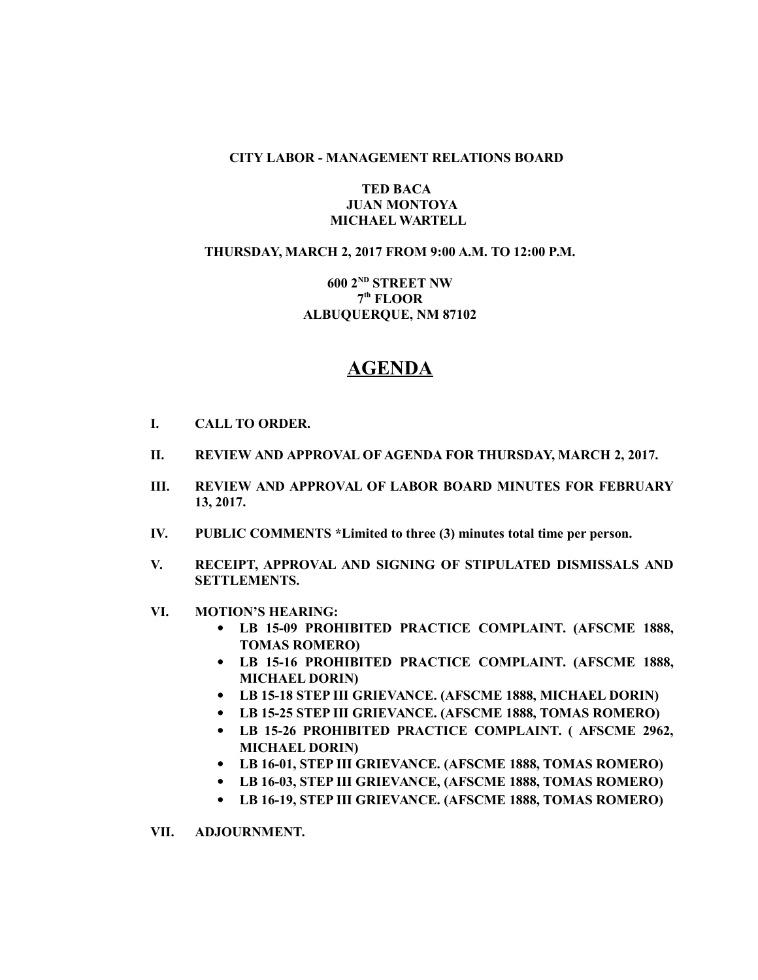### **CITY LABOR - MANAGEMENT RELATIONS BOARD**

# **TED BACA JUAN MONTOYA MICHAEL WARTELL**

# **THURSDAY, MARCH 2, 2017 FROM 9:00 A.M. TO 12:00 P.M.**

# **600 2ND STREET NW 7 th FLOOR ALBUQUERQUE, NM 87102**

# **AGENDA**

- **I. CALL TO ORDER.**
- **II. REVIEW AND APPROVAL OF AGENDA FOR THURSDAY, MARCH 2, 2017.**
- **III. REVIEW AND APPROVAL OF LABOR BOARD MINUTES FOR FEBRUARY 13, 2017.**
- **IV. PUBLIC COMMENTS \*Limited to three (3) minutes total time per person.**
- **V. RECEIPT, APPROVAL AND SIGNING OF STIPULATED DISMISSALS AND SETTLEMENTS.**
- **VI. MOTION'S HEARING:**
	- **LB 15-09 PROHIBITED PRACTICE COMPLAINT. (AFSCME 1888, TOMAS ROMERO)**
	- **LB 15-16 PROHIBITED PRACTICE COMPLAINT. (AFSCME 1888, MICHAEL DORIN)**
	- **LB 15-18 STEP III GRIEVANCE. (AFSCME 1888, MICHAEL DORIN)**
	- **LB 15-25 STEP III GRIEVANCE. (AFSCME 1888, TOMAS ROMERO)**
	- **LB 15-26 PROHIBITED PRACTICE COMPLAINT. ( AFSCME 2962, MICHAEL DORIN)**
	- **LB 16-01, STEP III GRIEVANCE. (AFSCME 1888, TOMAS ROMERO)**
	- **LB 16-03, STEP III GRIEVANCE, (AFSCME 1888, TOMAS ROMERO)**
	- **LB 16-19, STEP III GRIEVANCE. (AFSCME 1888, TOMAS ROMERO)**

**VII. ADJOURNMENT.**